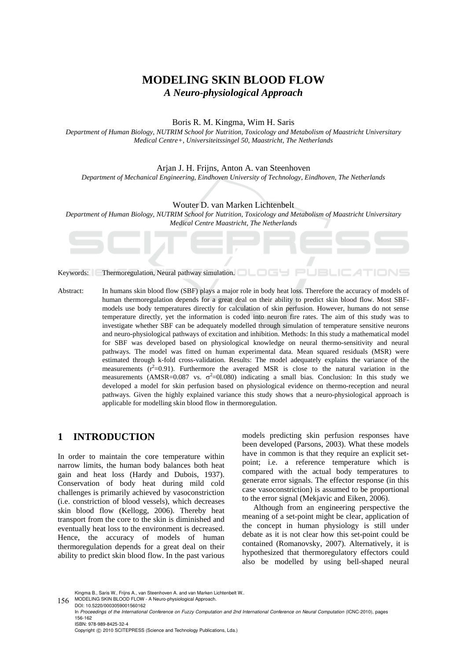# **MODELING SKIN BLOOD FLOW**  *A Neuro-physiological Approach*

#### Boris R. M. Kingma, Wim H. Saris

*Department of Human Biology, NUTRIM School for Nutrition, Toxicology and Metabolism of Maastricht Universitary Medical Centre+, Universiteitssingel 50, Maastricht, The Netherlands* 

#### Arjan J. H. Frijns, Anton A. van Steenhoven

*Department of Mechanical Engineering, Eindhoven University of Technology, Eindhoven, The Netherlands* 

#### Wouter D. van Marken Lichtenbelt

*Department of Human Biology, NUTRIM School for Nutrition, Toxicology and Metabolism of Maastricht Universitary Medical Centre Maastricht, The Netherlands* 

76 –

Keywords: Thermoregulation, Neural pathway simulation.

Abstract: In humans skin blood flow (SBF) plays a major role in body heat loss. Therefore the accuracy of models of human thermoregulation depends for a great deal on their ability to predict skin blood flow. Most SBFmodels use body temperatures directly for calculation of skin perfusion. However, humans do not sense temperature directly, yet the information is coded into neuron fire rates. The aim of this study was to investigate whether SBF can be adequately modelled through simulation of temperature sensitive neurons and neuro-physiological pathways of excitation and inhibition. Methods: In this study a mathematical model for SBF was developed based on physiological knowledge on neural thermo-sensitivity and neural pathways. The model was fitted on human experimental data. Mean squared residuals (MSR) were estimated through k-fold cross-validation. Results: The model adequately explains the variance of the measurements  $(r^2=0.91)$ . Furthermore the averaged MSR is close to the natural variation in the measurements (AMSR=0.087 vs.  $\sigma^2$ =01.080) indicating a small bias. Conclusion: In this study we developed a model for skin perfusion based on physiological evidence on thermo-reception and neural pathways. Given the highly explained variance this study shows that a neuro-physiological approach is applicable for modelling skin blood flow in thermoregulation.

### **1 INTRODUCTION**

In order to maintain the core temperature within narrow limits, the human body balances both heat gain and heat loss (Hardy and Dubois, 1937). Conservation of body heat during mild cold challenges is primarily achieved by vasoconstriction (i.e. constriction of blood vessels), which decreases skin blood flow (Kellogg, 2006). Thereby heat transport from the core to the skin is diminished and eventually heat loss to the environment is decreased. Hence, the accuracy of models of human thermoregulation depends for a great deal on their ability to predict skin blood flow. In the past various

models predicting skin perfusion responses have been developed (Parsons, 2003). What these models have in common is that they require an explicit setpoint; i.e. a reference temperature which is compared with the actual body temperatures to generate error signals. The effector response (in this case vasoconstriction) is assumed to be proportional to the error signal (Mekjavic and Eiken, 2006).

Although from an engineering perspective the meaning of a set-point might be clear, application of the concept in human physiology is still under debate as it is not clear how this set-point could be contained (Romanovsky, 2007). Alternatively, it is hypothesized that thermoregulatory effectors could also be modelled by using bell-shaped neural

Copyright © 2010 SCITEPRESS (Science and Technology Publications, Lda.)

Kingma B., Saris W., Frijns A., van Steenhoven A. and van Marken Lichtenbelt W..

<sup>156</sup> MODELING SKIN BLOOD FLOW - A Neuro-physiological Approach.

DOI: 10.5220/0003059001560162

In *Proceedings of the International Conference on Fuzzy Computation and 2nd International Conference on Neural Computation* (ICNC-2010), pages 156-162 ISBN: 978-989-8425-32-4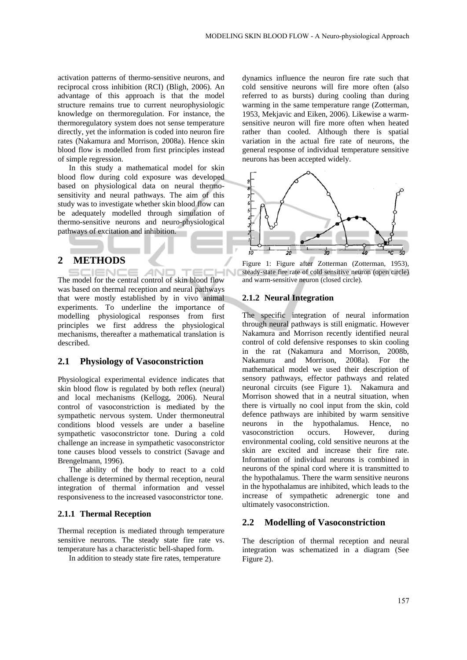activation patterns of thermo-sensitive neurons, and reciprocal cross inhibition (RCI) (Bligh, 2006). An advantage of this approach is that the model structure remains true to current neurophysiologic knowledge on thermoregulation. For instance, the thermoregulatory system does not sense temperature directly, yet the information is coded into neuron fire rates (Nakamura and Morrison, 2008a). Hence skin blood flow is modelled from first principles instead of simple regression.

In this study a mathematical model for skin blood flow during cold exposure was developed based on physiological data on neural thermosensitivity and neural pathways. The aim of this study was to investigate whether skin blood flow can be adequately modelled through simulation of thermo-sensitive neurons and neuro-physiological pathways of excitation and inhibition.

### **2 METHODS**

IENCE **AND**  $T \in \mathcal{C}$ **HN** The model for the central control of skin blood flow was based on thermal reception and neural pathways that were mostly established by in vivo animal experiments. To underline the importance of modelling physiological responses from first principles we first address the physiological mechanisms, thereafter a mathematical translation is described.

### **2.1 Physiology of Vasoconstriction**

Physiological experimental evidence indicates that skin blood flow is regulated by both reflex (neural) and local mechanisms (Kellogg, 2006). Neural control of vasoconstriction is mediated by the sympathetic nervous system. Under thermoneutral conditions blood vessels are under a baseline sympathetic vasoconstrictor tone. During a cold challenge an increase in sympathetic vasoconstrictor tone causes blood vessels to constrict (Savage and Brengelmann, 1996).

The ability of the body to react to a cold challenge is determined by thermal reception, neural integration of thermal information and vessel responsiveness to the increased vasoconstrictor tone.

#### **2.1.1 Thermal Reception**

Thermal reception is mediated through temperature sensitive neurons. The steady state fire rate vs. temperature has a characteristic bell-shaped form.

In addition to steady state fire rates, temperature

dynamics influence the neuron fire rate such that cold sensitive neurons will fire more often (also referred to as bursts) during cooling than during warming in the same temperature range (Zotterman, 1953, Mekjavic and Eiken, 2006). Likewise a warmsensitive neuron will fire more often when heated rather than cooled. Although there is spatial variation in the actual fire rate of neurons, the general response of individual temperature sensitive neurons has been accepted widely.



Figure 1: Figure after Zotterman (Zotterman, 1953), steady-state fire rate of cold sensitive neuron (open circle) and warm-sensitive neuron (closed circle).

#### **2.1.2 Neural Integration**

The specific integration of neural information through neural pathways is still enigmatic. However Nakamura and Morrison recently identified neural control of cold defensive responses to skin cooling in the rat (Nakamura and Morrison, 2008b, Nakamura and Morrison, 2008a). For the mathematical model we used their description of sensory pathways, effector pathways and related neuronal circuits (see Figure 1). Nakamura and Morrison showed that in a neutral situation, when there is virtually no cool input from the skin, cold defence pathways are inhibited by warm sensitive neurons in the hypothalamus. Hence, no vasoconstriction occurs. However, during environmental cooling, cold sensitive neurons at the skin are excited and increase their fire rate. Information of individual neurons is combined in neurons of the spinal cord where it is transmitted to the hypothalamus. There the warm sensitive neurons in the hypothalamus are inhibited, which leads to the increase of sympathetic adrenergic tone and ultimately vasoconstriction.

#### **2.2 Modelling of Vasoconstriction**

The description of thermal reception and neural integration was schematized in a diagram (See Figure 2).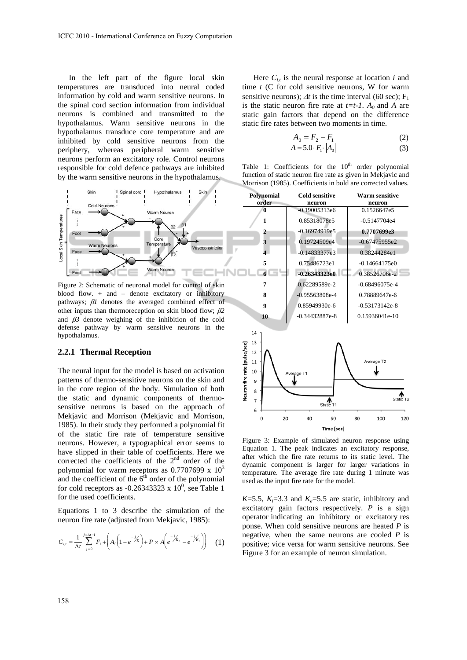In the left part of the figure local skin temperatures are transduced into neural coded information by cold and warm sensitive neurons. In the spinal cord section information from individual neurons is combined and transmitted to the hypothalamus. Warm sensitive neurons in the hypothalamus transduce core temperature and are inhibited by cold sensitive neurons from the periphery, whereas peripheral warm sensitive neurons perform an excitatory role. Control neurons responsible for cold defence pathways are inhibited by the warm sensitive neurons in the hypothalamus.



Figure 2: Schematic of neuronal model for control of skin blood flow. + and – denote excitatory or inhibitory pathways;  $\beta$ *l* denotes the averaged combined effect of other inputs than thermoreception on skin blood flow;  $\beta$ 2 and  $\beta$ <sup>3</sup> denote weighing of the inhibition of the cold defense pathway by warm sensitive neurons in the hypothalamus.

#### **2.2.1 Thermal Reception**

The neural input for the model is based on activation patterns of thermo-sensitive neurons on the skin and in the core region of the body. Simulation of both the static and dynamic components of thermosensitive neurons is based on the approach of Mekjavic and Morrison (Mekjavic and Morrison, 1985). In their study they performed a polynomial fit of the static fire rate of temperature sensitive neurons. However, a typographical error seems to have slipped in their table of coefficients. Here we corrected the coefficients of the  $2<sup>nd</sup>$  order of the polynomial for warm receptors as  $0.7707699 \times 10^{3}$ and the coefficient of the  $6<sup>th</sup>$  order of the polynomial for cold receptors as  $-0.26343323 \times 10^0$ , see Table 1 for the used coefficients.

Equations 1 to 3 describe the simulation of the neuron fire rate (adjusted from Mekjavic, 1985):

$$
C_{i,t} = \frac{1}{\Delta t} \sum_{j=0}^{j=\Delta t-1} F_1 + \left( A_0 \left( 1 - e^{-j/x} \right) + P \times A \left( e^{-j/x} - e^{-j/x} \right) \right) \tag{1}
$$

Here  $C_{i,t}$  is the neural response at location *i* and time *t* (C for cold sensitive neurons, W for warm sensitive neurons);  $\Delta t$  is the time interval (60 sec);  $F_1$ is the static neuron fire rate at  $t=t-1$ .  $A_0$  and A are static gain factors that depend on the difference static fire rates between two moments in time.

$$
A_0 = F_2 - F_1
$$
  
\n
$$
A = 5.0 \cdot F_1 \cdot |A_0|
$$
 (2)

Table 1: Coefficients for the  $10<sup>th</sup>$  order polynomial function of static neuron fire rate as given in Mekjavic and Morrison (1985). Coefficients in bold are corrected values.



Figure 3: Example of simulated neuron response using Equation 1. The peak indicates an excitatory response, after which the fire rate returns to its static level. The dynamic component is larger for larger variations in temperature. The average fire rate during 1 minute was used as the input fire rate for the model.

 $K=5.5$ ,  $K<sub>i</sub>=3.3$  and  $K<sub>e</sub>=5.5$  are static, inhibitory and excitatory gain factors respectively. *P* is a sign operator indicating an inhibitory or excitatory res ponse. When cold sensitive neurons are heated *P* is negative, when the same neurons are cooled *P* is positive; vice versa for warm sensitive neurons. See Figure 3 for an example of neuron simulation.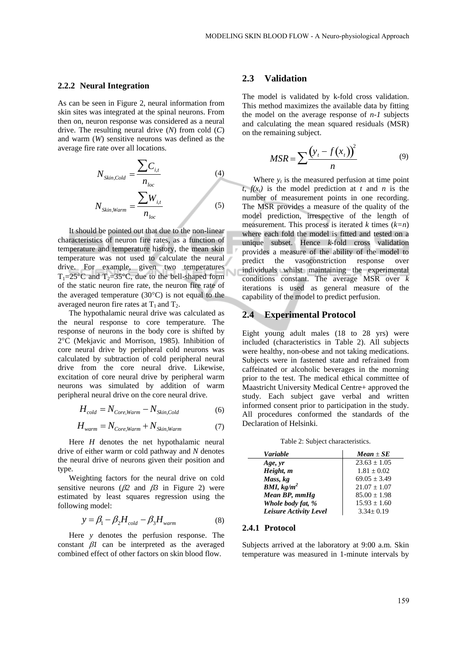#### **2.2.2 Neural Integration**

As can be seen in Figure 2, neural information from skin sites was integrated at the spinal neurons. From then on, neuron response was considered as a neural drive. The resulting neural drive (*N*) from cold (*C*) and warm (*W*) sensitive neurons was defined as the average fire rate over all locations.

$$
N_{Skin, Cold} = \frac{\sum C_{i,t}}{n_{loc}}
$$
\n
$$
N_{Skin, Warm} = \frac{\sum W_{i,t}}{n_{loc}}
$$
\n(5)

It should be pointed out that due to the non-linear characteristics of neuron fire rates, as a function of temperature and temperature history, the mean skin temperature was not used to calculate the neural drive. For example, given two temperatures T<sub>1</sub>=25<sup>o</sup>C and T<sub>2</sub>=35<sup>o</sup>C, due to the bell-shaped form of the static neuron fire rate, the neuron fire rate of the averaged temperature  $(30^{\circ}C)$  is not equal to the averaged neuron fire rates at  $T_1$  and  $T_2$ .

The hypothalamic neural drive was calculated as the neural response to core temperature. The response of neurons in the body core is shifted by 2C (Mekjavic and Morrison, 1985). Inhibition of core neural drive by peripheral cold neurons was calculated by subtraction of cold peripheral neural drive from the core neural drive. Likewise, excitation of core neural drive by peripheral warm neurons was simulated by addition of warm peripheral neural drive on the core neural drive.

$$
H_{cold} = N_{Core, Warm} - N_{skin, Cold} \tag{6}
$$

$$
H_{warm} = N_{Core, Warm} + N_{Skin, Warm}
$$
 (7)

Here *H* denotes the net hypothalamic neural drive of either warm or cold pathway and *N* denotes the neural drive of neurons given their position and type.

Weighting factors for the neural drive on cold sensitive neurons  $(\beta 2 \text{ and } \beta 3 \text{ in Figure 2})$  were estimated by least squares regression using the following model:

$$
y = \beta_1 - \beta_2 H_{cold} - \beta_3 H_{warm}
$$
 (8)

Here *y* denotes the perfusion response. The constant  $\beta$ *l* can be interpreted as the averaged combined effect of other factors on skin blood flow.

#### **2.3 Validation**

The model is validated by k-fold cross validation. This method maximizes the available data by fitting the model on the average response of *n-1* subjects and calculating the mean squared residuals (MSR) on the remaining subject.

$$
MSR = \sum \frac{(y_t - f(x_t))^2}{n}
$$
 (9)

Where  $y_t$  is the measured perfusion at time point  $t, f(x_t)$  is the model prediction at *t* and *n* is the number of measurement points in one recording. The MSR provides a measure of the quality of the model prediction, irrespective of the length of measurement. This process is iterated  $k$  times  $(k=n)$ where each fold the model is fitted and tested on a unique subset. Hence *k*-fold cross validation provides a measure of the ability of the model to predict the vasoconstriction response over individuals whilst maintaining the experimental conditions constant. The average MSR over *k* iterations is used as general measure of the capability of the model to predict perfusion.

### **2.4 Experimental Protocol**

Eight young adult males (18 to 28 yrs) were included (characteristics in Table 2). All subjects were healthy, non-obese and not taking medications. Subjects were in fastened state and refrained from caffeinated or alcoholic beverages in the morning prior to the test. The medical ethical committee of Maastricht University Medical Centre+ approved the study. Each subject gave verbal and written informed consent prior to participation in the study. All procedures conformed the standards of the Declaration of Helsinki.

Table 2: Subject characteristics.

| Variable               | $Mean \pm SE$    |
|------------------------|------------------|
| Age, yr                | $23.63 \pm 1.05$ |
| Height, m              | $1.81 \pm 0.02$  |
| Mass, kg               | $69.05 \pm 3.49$ |
| BMI, $kg/m^2$          | $21.07 \pm 1.07$ |
| Mean BP, mmHg          | $85.00 \pm 1.98$ |
| Whole body fat, %      | $15.93 \pm 1.60$ |
| Leisure Activity Level | $3.34 \pm 0.19$  |

#### **2.4.1 Protocol**

Subjects arrived at the laboratory at 9:00 a.m. Skin temperature was measured in 1-minute intervals by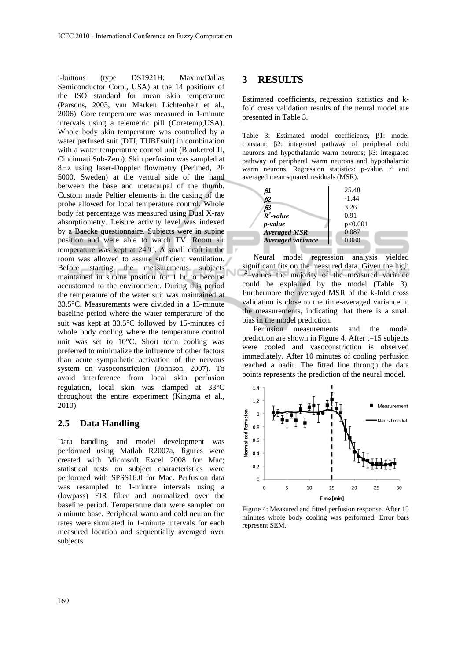i-buttons (type DS1921H; Maxim/Dallas Semiconductor Corp., USA) at the 14 positions of the ISO standard for mean skin temperature (Parsons, 2003, van Marken Lichtenbelt et al., 2006). Core temperature was measured in 1-minute intervals using a telemetric pill (Coretemp,USA). Whole body skin temperature was controlled by a water perfused suit (DTI, TUBEsuit) in combination with a water temperature control unit (Blanketrol II, Cincinnati Sub-Zero). Skin perfusion was sampled at 8Hz using laser-Doppler flowmetry (Perimed, PF 5000, Sweden) at the ventral side of the hand between the base and metacarpal of the thumb. Custom made Peltier elements in the casing of the probe allowed for local temperature control. Whole body fat percentage was measured using Dual X-ray absorptiometry. Leisure activity level was indexed by a Baecke questionnaire. Subjects were in supine position and were able to watch TV. Room air temperature was kept at  $24^{\circ}$ C. A small draft in the room was allowed to assure sufficient ventilation. Before starting the measurements subjects maintained in supine position for 1 hr to become accustomed to the environment. During this period the temperature of the water suit was maintained at 33.5C. Measurements were divided in a 15-minute baseline period where the water temperature of the suit was kept at  $33.5^{\circ}$ C followed by 15-minutes of whole body cooling where the temperature control unit was set to  $10^{\circ}$ C. Short term cooling was preferred to minimalize the influence of other factors than acute sympathetic activation of the nervous system on vasoconstriction (Johnson, 2007). To avoid interference from local skin perfusion regulation, local skin was clamped at 33°C throughout the entire experiment (Kingma et al., 2010).

### **2.5 Data Handling**

Data handling and model development was performed using Matlab R2007a, figures were created with Microsoft Excel 2008 for Mac; statistical tests on subject characteristics were performed with SPSS16.0 for Mac. Perfusion data was resampled to 1-minute intervals using a (lowpass) FIR filter and normalized over the baseline period. Temperature data were sampled on a minute base. Peripheral warm and cold neuron fire rates were simulated in 1-minute intervals for each measured location and sequentially averaged over subjects.

## **3 RESULTS**

Estimated coefficients, regression statistics and kfold cross validation results of the neural model are presented in Table 3.

Table 3: Estimated model coefficients,  $\beta$ 1: model constant;  $\beta$ 2: integrated pathway of peripheral cold neurons and hypothalamic warm neurons;  $\beta$ 3: integrated pathway of peripheral warm neurons and hypothalamic warm neurons. Regression statistics: p-value,  $r^2$  and averaged mean squared residuals (MSR).



Neural model regression analysis yielded significant fits on the measured data. Given the high  $r^2$ -values the majority of the measured variance could be explained by the model (Table 3). Furthermore the averaged MSR of the k-fold cross validation is close to the time-averaged variance in the measurements, indicating that there is a small bias in the model prediction.

Perfusion measurements and the model prediction are shown in Figure 4. After t=15 subjects were cooled and vasoconstriction is observed immediately. After 10 minutes of cooling perfusion reached a nadir. The fitted line through the data points represents the prediction of the neural model.



Figure 4: Measured and fitted perfusion response. After 15 minutes whole body cooling was performed. Error bars represent SEM.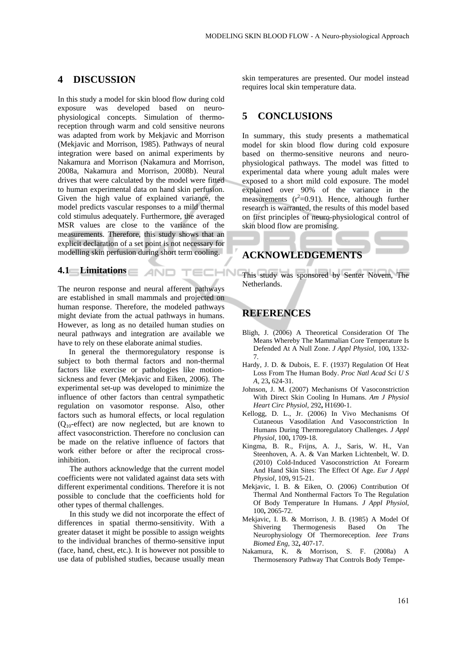### **4 DISCUSSION**

In this study a model for skin blood flow during cold exposure was developed based on neurophysiological concepts. Simulation of thermoreception through warm and cold sensitive neurons was adapted from work by Mekjavic and Morrison (Mekjavic and Morrison, 1985). Pathways of neural integration were based on animal experiments by Nakamura and Morrison (Nakamura and Morrison, 2008a, Nakamura and Morrison, 2008b). Neural drives that were calculated by the model were fitted to human experimental data on hand skin perfusion. Given the high value of explained variance, the model predicts vascular responses to a mild thermal cold stimulus adequately. Furthermore, the averaged MSR values are close to the variance of the measurements. Therefore, this study shows that an explicit declaration of a set point is not necessary for modelling skin perfusion during short term cooling.

## **4.1 Limitations**

The neuron response and neural afferent pathways are established in small mammals and projected on human response. Therefore, the modeled pathways might deviate from the actual pathways in humans. However, as long as no detailed human studies on neural pathways and integration are available we have to rely on these elaborate animal studies.

In general the thermoregulatory response is subject to both thermal factors and non-thermal factors like exercise or pathologies like motionsickness and fever (Mekjavic and Eiken, 2006). The experimental set-up was developed to minimize the influence of other factors than central sympathetic regulation on vasomotor response. Also, other factors such as humoral effects, or local regulation  $(Q_{10}$ -effect) are now neglected, but are known to affect vasoconstriction. Therefore no conclusion can be made on the relative influence of factors that work either before or after the reciprocal crossinhibition.

The authors acknowledge that the current model coefficients were not validated against data sets with different experimental conditions. Therefore it is not possible to conclude that the coefficients hold for other types of thermal challenges.

In this study we did not incorporate the effect of differences in spatial thermo-sensitivity. With a greater dataset it might be possible to assign weights to the individual branches of thermo-sensitive input (face, hand, chest, etc.). It is however not possible to use data of published studies, because usually mean

skin temperatures are presented. Our model instead requires local skin temperature data.

### **5 CONCLUSIONS**

In summary, this study presents a mathematical model for skin blood flow during cold exposure based on thermo-sensitive neurons and neurophysiological pathways. The model was fitted to experimental data where young adult males were exposed to a short mild cold exposure. The model explained over 90% of the variance in the measurements  $(r^2=0.91)$ . Hence, although further research is warranted, the results of this model based on first principles of neuro-physiological control of skin blood flow are promising.

## **ACKNOWLEDGEMENTS**

TECHN( This study was sponsored by Senter Novem, The Netherlands.

## **REFERENCES**

- Bligh, J. (2006) A Theoretical Consideration Of The Means Whereby The Mammalian Core Temperature Is Defended At A Null Zone. *J Appl Physiol,* 100**,** 1332- 7.
- Hardy, J. D. & Dubois, E. F. (1937) Regulation Of Heat Loss From The Human Body. *Proc Natl Acad Sci U S A,* 23**,** 624-31.
- Johnson, J. M. (2007) Mechanisms Of Vasoconstriction With Direct Skin Cooling In Humans. *Am J Physiol Heart Circ Physiol,* 292**,** H1690-1.
- Kellogg, D. L., Jr. (2006) In Vivo Mechanisms Of Cutaneous Vasodilation And Vasoconstriction In Humans During Thermoregulatory Challenges. *J Appl Physiol,* 100**,** 1709-18.
- Kingma, B. R., Frijns, A. J., Saris, W. H., Van Steenhoven, A. A. & Van Marken Lichtenbelt, W. D. (2010) Cold-Induced Vasoconstriction At Forearm And Hand Skin Sites: The Effect Of Age. *Eur J Appl Physiol,* 109**,** 915-21.
- Mekjavic, I. B. & Eiken, O. (2006) Contribution Of Thermal And Nonthermal Factors To The Regulation Of Body Temperature In Humans. *J Appl Physiol,* 100**,** 2065-72.
- Mekjavic, I. B. & Morrison, J. B. (1985) A Model Of Shivering Thermogenesis Based On The Neurophysiology Of Thermoreception. *Ieee Trans Biomed Eng,* 32**,** 407-17.
- Nakamura, K. & Morrison, S. F. (2008a) A Thermosensory Pathway That Controls Body Tempe-